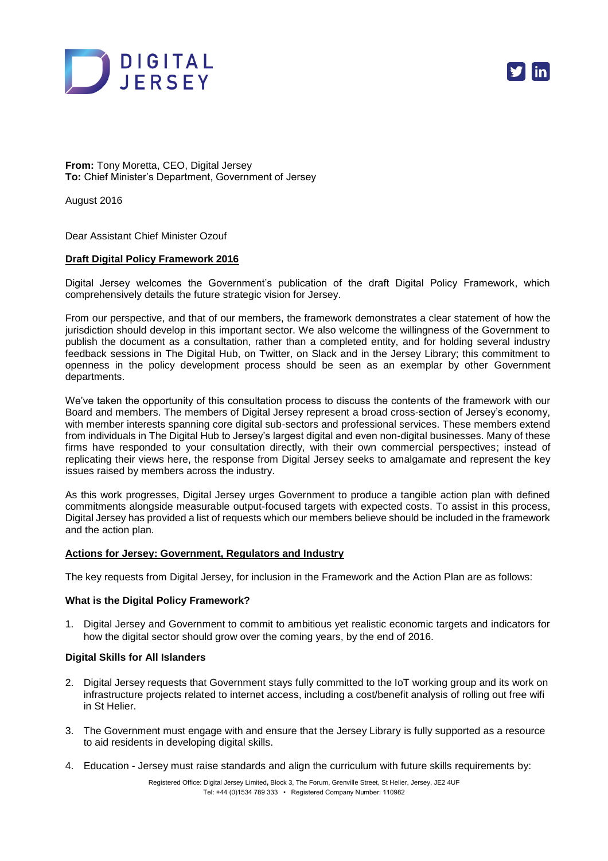



**From:** Tony Moretta, CEO, Digital Jersey **To:** Chief Minister's Department, Government of Jersey

August 2016

Dear Assistant Chief Minister Ozouf

## **Draft Digital Policy Framework 2016**

Digital Jersey welcomes the Government's publication of the draft Digital Policy Framework, which comprehensively details the future strategic vision for Jersey.

From our perspective, and that of our members, the framework demonstrates a clear statement of how the jurisdiction should develop in this important sector. We also welcome the willingness of the Government to publish the document as a consultation, rather than a completed entity, and for holding several industry feedback sessions in The Digital Hub, on Twitter, on Slack and in the Jersey Library; this commitment to openness in the policy development process should be seen as an exemplar by other Government departments.

We've taken the opportunity of this consultation process to discuss the contents of the framework with our Board and members. The members of Digital Jersey represent a broad cross-section of Jersey's economy, with member interests spanning core digital sub-sectors and professional services. These members extend from individuals in The Digital Hub to Jersey's largest digital and even non-digital businesses. Many of these firms have responded to your consultation directly, with their own commercial perspectives; instead of replicating their views here, the response from Digital Jersey seeks to amalgamate and represent the key issues raised by members across the industry.

As this work progresses, Digital Jersey urges Government to produce a tangible action plan with defined commitments alongside measurable output-focused targets with expected costs. To assist in this process, Digital Jersey has provided a list of requests which our members believe should be included in the framework and the action plan.

## **Actions for Jersey: Government, Regulators and Industry**

The key requests from Digital Jersey, for inclusion in the Framework and the Action Plan are as follows:

## **What is the Digital Policy Framework?**

1. Digital Jersey and Government to commit to ambitious yet realistic economic targets and indicators for how the digital sector should grow over the coming years, by the end of 2016.

## **Digital Skills for All Islanders**

- 2. Digital Jersey requests that Government stays fully committed to the IoT working group and its work on infrastructure projects related to internet access, including a cost/benefit analysis of rolling out free wifi in St Helier.
- 3. The Government must engage with and ensure that the Jersey Library is fully supported as a resource to aid residents in developing digital skills.
- 4. Education Jersey must raise standards and align the curriculum with future skills requirements by: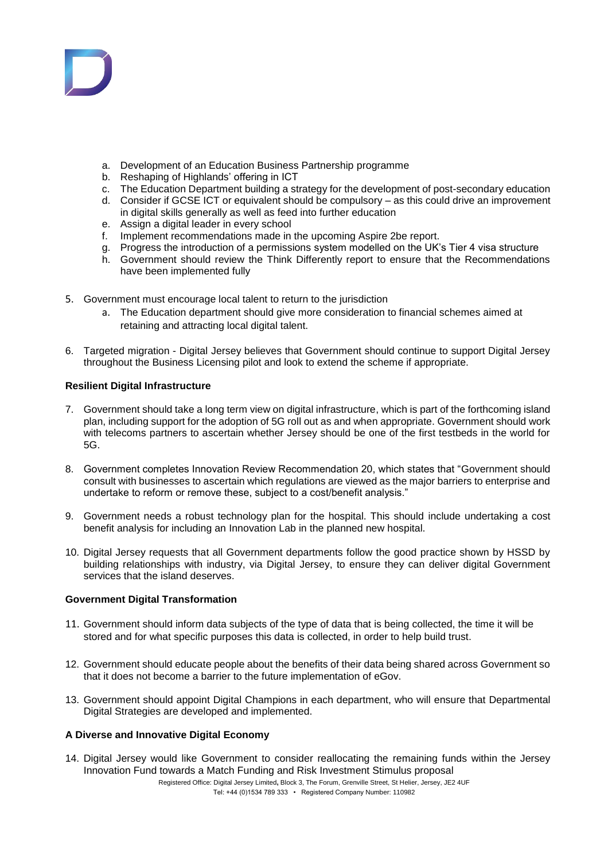

- a. Development of an Education Business Partnership programme
- 
- b. Reshaping of Highlands' offering in ICT<br>c. The Education Department building a strategy for the development of post-secondary education c. The Education Department building a strategy for the development of post-secondary education
- d. Consider if GCSE ICT or equivalent should be compulsory as this could drive an improvement in digital skills generally as well as feed into further education
- e. Assign a digital leader in every school
- f. Implement recommendations made in the upcoming Aspire 2be report.
- g. Progress the introduction of a permissions system modelled on the UK's Tier 4 visa structure
- h. Government should review the Think Differently report to ensure that the Recommendations have been implemented fully
- 5. Government must encourage local talent to return to the jurisdiction
	- a. The Education department should give more consideration to financial schemes aimed at retaining and attracting local digital talent.
- 6. Targeted migration Digital Jersey believes that Government should continue to support Digital Jersey throughout the Business Licensing pilot and look to extend the scheme if appropriate.

# **Resilient Digital Infrastructure**

- 7. Government should take a long term view on digital infrastructure, which is part of the forthcoming island plan, including support for the adoption of 5G roll out as and when appropriate. Government should work with telecoms partners to ascertain whether Jersey should be one of the first testbeds in the world for 5G.
- 8. Government completes Innovation Review Recommendation 20, which states that "Government should consult with businesses to ascertain which regulations are viewed as the major barriers to enterprise and undertake to reform or remove these, subject to a cost/benefit analysis."
- 9. Government needs a robust technology plan for the hospital. This should include undertaking a cost benefit analysis for including an Innovation Lab in the planned new hospital.
- 10. Digital Jersey requests that all Government departments follow the good practice shown by HSSD by building relationships with industry, via Digital Jersey, to ensure they can deliver digital Government services that the island deserves.

# **Government Digital Transformation**

- 11. Government should inform data subjects of the type of data that is being collected, the time it will be stored and for what specific purposes this data is collected, in order to help build trust.
- 12. Government should educate people about the benefits of their data being shared across Government so that it does not become a barrier to the future implementation of eGov.
- 13. Government should appoint Digital Champions in each department, who will ensure that Departmental Digital Strategies are developed and implemented.

# **A Diverse and Innovative Digital Economy**

14. Digital Jersey would like Government to consider reallocating the remaining funds within the Jersey Innovation Fund towards a Match Funding and Risk Investment Stimulus proposal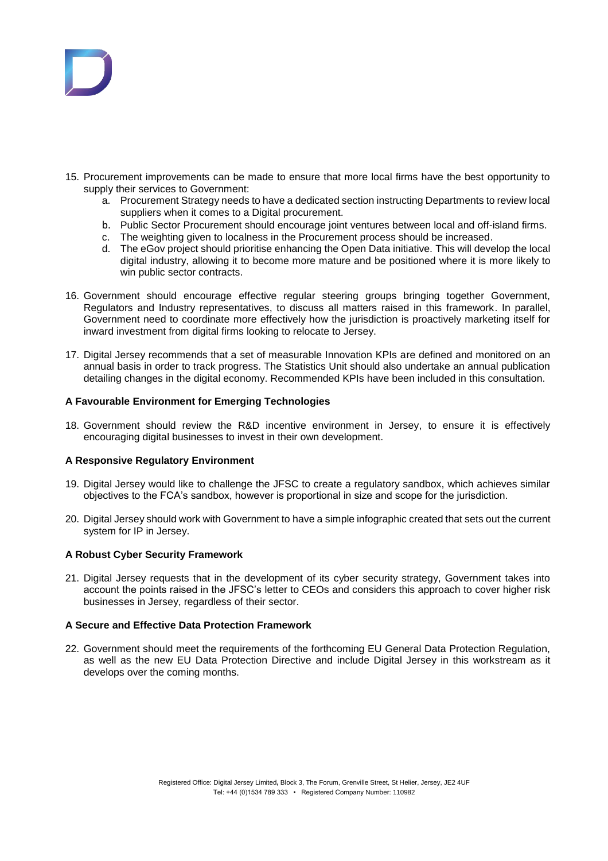

- 15. Procurement improvements can be made to ensure that more local firms have the best opportunity to supply their services to Government:
	- a. Procurement Strategy needs to have a dedicated section instructing Departments to review local suppliers when it comes to a Digital procurement.
	- b. Public Sector Procurement should encourage joint ventures between local and off-island firms.
	- c. The weighting given to localness in the Procurement process should be increased.
	- d. The eGov project should prioritise enhancing the Open Data initiative. This will develop the local digital industry, allowing it to become more mature and be positioned where it is more likely to win public sector contracts.
- 16. Government should encourage effective regular steering groups bringing together Government, Regulators and Industry representatives, to discuss all matters raised in this framework. In parallel, Government need to coordinate more effectively how the jurisdiction is proactively marketing itself for inward investment from digital firms looking to relocate to Jersey.
- 17. Digital Jersey recommends that a set of measurable Innovation KPIs are defined and monitored on an annual basis in order to track progress. The Statistics Unit should also undertake an annual publication detailing changes in the digital economy. Recommended KPIs have been included in this consultation.

## **A Favourable Environment for Emerging Technologies**

18. Government should review the R&D incentive environment in Jersey, to ensure it is effectively encouraging digital businesses to invest in their own development.

# **A Responsive Regulatory Environment**

- 19. Digital Jersey would like to challenge the JFSC to create a regulatory sandbox, which achieves similar objectives to the FCA's sandbox, however is proportional in size and scope for the jurisdiction.
- 20. Digital Jersey should work with Government to have a simple infographic created that sets out the current system for IP in Jersey.

# **A Robust Cyber Security Framework**

21. Digital Jersey requests that in the development of its cyber security strategy, Government takes into account the points raised in the JFSC's letter to CEOs and considers this approach to cover higher risk businesses in Jersey, regardless of their sector.

# **A Secure and Effective Data Protection Framework**

22. Government should meet the requirements of the forthcoming EU General Data Protection Regulation, as well as the new EU Data Protection Directive and include Digital Jersey in this workstream as it develops over the coming months.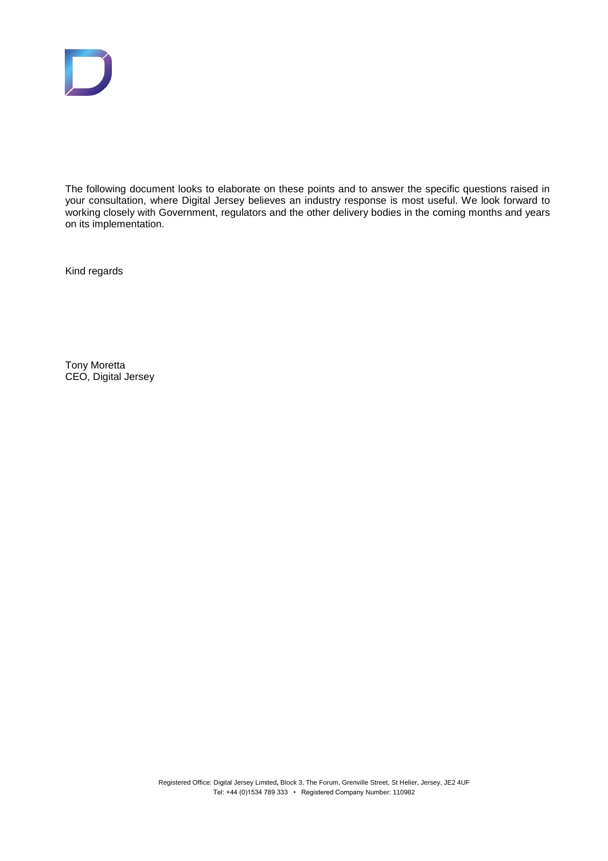

The following document looks to elaborate on these points and to answer the specific questions raised in your consultation, where Digital Jersey believes an industry response is most useful. We look forward to working closely with Government, regulators and the other delivery bodies in the coming months and years on its implementation.

Kind regards

Tony Moretta CEO, Digital Jersey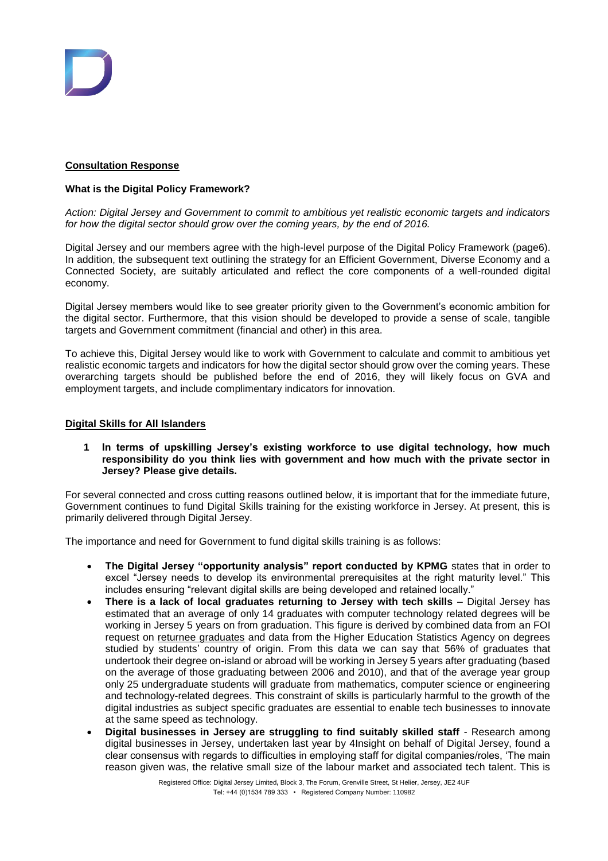

# **Consultation Response**

# **What is the Digital Policy Framework?**

*Action: Digital Jersey and Government to commit to ambitious yet realistic economic targets and indicators*  for how the digital sector should grow over the coming years, by the end of 2016.

Digital Jersey and our members agree with the high-level purpose of the Digital Policy Framework (page6). In addition, the subsequent text outlining the strategy for an Efficient Government, Diverse Economy and a Connected Society, are suitably articulated and reflect the core components of a well-rounded digital economy.

Digital Jersey members would like to see greater priority given to the Government's economic ambition for the digital sector. Furthermore, that this vision should be developed to provide a sense of scale, tangible targets and Government commitment (financial and other) in this area.

To achieve this, Digital Jersey would like to work with Government to calculate and commit to ambitious yet realistic economic targets and indicators for how the digital sector should grow over the coming years. These overarching targets should be published before the end of 2016, they will likely focus on GVA and employment targets, and include complimentary indicators for innovation.

## **Digital Skills for All Islanders**

**1 In terms of upskilling Jersey's existing workforce to use digital technology, how much responsibility do you think lies with government and how much with the private sector in Jersey? Please give details.** 

For several connected and cross cutting reasons outlined below, it is important that for the immediate future, Government continues to fund Digital Skills training for the existing workforce in Jersey. At present, this is primarily delivered through Digital Jersey.

The importance and need for Government to fund digital skills training is as follows:

- **The Digital Jersey "opportunity analysis" report conducted by KPMG** states that in order to excel "Jersey needs to develop its environmental prerequisites at the right maturity level." This includes ensuring "relevant digital skills are being developed and retained locally."
- **There is a lack of local graduates returning to Jersey with tech skills** Digital Jersey has estimated that an average of only 14 graduates with computer technology related degrees will be working in Jersey 5 years on from graduation. This figure is derived by combined data from an FOI request on [returnee graduates](https://www.gov.je/Government/Pages/StatesReports.aspx?ReportID=1982) and data from the Higher Education Statistics Agency on degrees studied by students' country of origin. From this data we can say that 56% of graduates that undertook their degree on-island or abroad will be working in Jersey 5 years after graduating (based on the average of those graduating between 2006 and 2010), and that of the average year group only 25 undergraduate students will graduate from mathematics, computer science or engineering and technology-related degrees. This constraint of skills is particularly harmful to the growth of the digital industries as subject specific graduates are essential to enable tech businesses to innovate at the same speed as technology.
- **Digital businesses in Jersey are struggling to find suitably skilled staff** Research among digital businesses in Jersey, undertaken last year by 4Insight on behalf of Digital Jersey, found a clear consensus with regards to difficulties in employing staff for digital companies/roles, 'The main reason given was, the relative small size of the labour market and associated tech talent. This is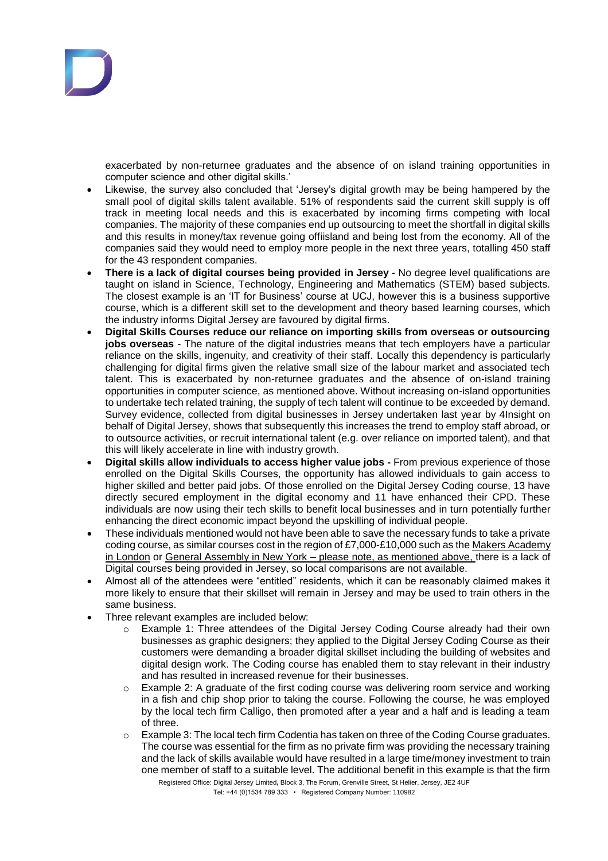

exacerbated by non-returnee graduates and the absence of on island training opportunities in computer science and other digital skills.'

- Likewise, the survey also concluded that 'Jersey's digital growth may be being hampered by the small pool of digital skills talent available. 51% of respondents said the current skill supply is off track in meeting local needs and this is exacerbated by incoming firms competing with local companies. The majority of these companies end up outsourcing to meet the shortfall in digital skills and this results in money/tax revenue going offiisland and being lost from the economy. All of the companies said they would need to employ more people in the next three years, totalling 450 staff for the 43 respondent companies.
- **There is a lack of digital courses being provided in Jersey** No degree level qualifications are taught on island in Science, Technology, Engineering and Mathematics (STEM) based subjects. The closest example is an 'IT for Business' course at UCJ, however this is a business supportive course, which is a different skill set to the development and theory based learning courses, which the industry informs Digital Jersey are favoured by digital firms.
- **Digital Skills Courses reduce our reliance on importing skills from overseas or outsourcing jobs overseas** - The nature of the digital industries means that tech employers have a particular reliance on the skills, ingenuity, and creativity of their staff. Locally this dependency is particularly challenging for digital firms given the relative small size of the labour market and associated tech talent. This is exacerbated by non-returnee graduates and the absence of on-island training opportunities in computer science, as mentioned above. Without increasing on-island opportunities to undertake tech related training, the supply of tech talent will continue to be exceeded by demand. Survey evidence, collected from digital businesses in Jersey undertaken last year by 4Insight on behalf of Digital Jersey, shows that subsequently this increases the trend to employ staff abroad, or to outsource activities, or recruit international talent (e.g. over reliance on imported talent), and that this will likely accelerate in line with industry growth.
- **Digital skills allow individuals to access higher value jobs -** From previous experience of those enrolled on the Digital Skills Courses, the opportunity has allowed individuals to gain access to higher skilled and better paid jobs. Of those enrolled on the Digital Jersey Coding course, 13 have directly secured employment in the digital economy and 11 have enhanced their CPD. These individuals are now using their tech skills to benefit local businesses and in turn potentially further enhancing the direct economic impact beyond the upskilling of individual people.
- These individuals mentioned would not have been able to save the necessary funds to take a private coding course, as similar courses cost in the region of £7,000-£10,000 such as the [Makers Academy](http://www.makersacademy.com/)  [in London](http://www.makersacademy.com/) or [General Assembly in New York](https://generalassemb.ly/london) - please note, as mentioned above, there is a lack of Digital courses being provided in Jersey, so local comparisons are not available.
- Almost all of the attendees were "entitled" residents, which it can be reasonably claimed makes it more likely to ensure that their skillset will remain in Jersey and may be used to train others in the same business.
- Three relevant examples are included below:
	- o Example 1: Three attendees of the Digital Jersey Coding Course already had their own businesses as graphic designers; they applied to the Digital Jersey Coding Course as their customers were demanding a broader digital skillset including the building of websites and digital design work. The Coding course has enabled them to stay relevant in their industry and has resulted in increased revenue for their businesses.
	- $\circ$  Example 2: A graduate of the first coding course was delivering room service and working in a fish and chip shop prior to taking the course. Following the course, he was employed by the local tech firm Calligo, then promoted after a year and a half and is leading a team of three.
	- Registered Office: Digital Jersey Limited**,** Block 3, The Forum, Grenville Street, St Helier, Jersey, JE2 4UF o Example 3: The local tech firm Codentia has taken on three of the Coding Course graduates. The course was essential for the firm as no private firm was providing the necessary training and the lack of skills available would have resulted in a large time/money investment to train one member of staff to a suitable level. The additional benefit in this example is that the firm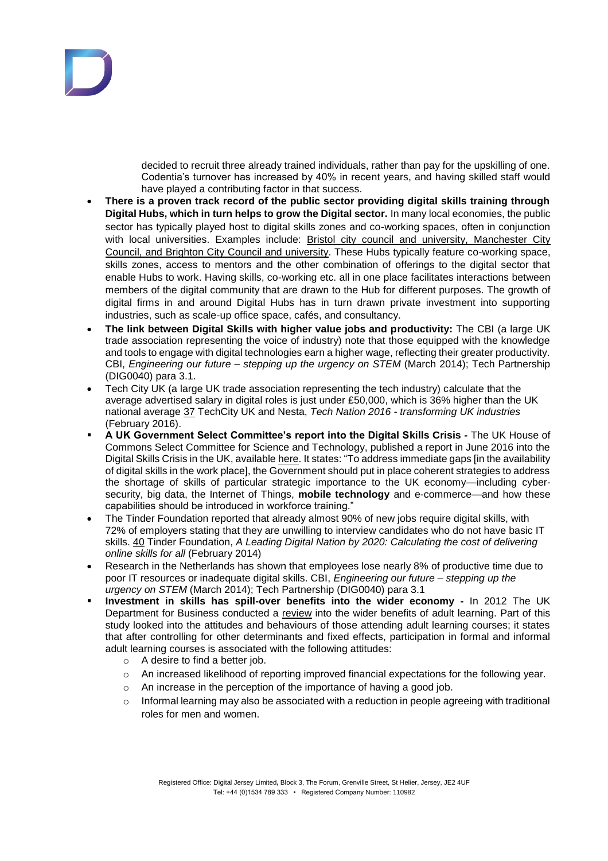

decided to recruit three already trained individuals, rather than pay for the upskilling of one. Codentia's turnover has increased by 40% in recent years, and having skilled staff would have played a contributing factor in that success.

- **There is a proven track record of the public sector providing digital skills training through Digital Hubs, which in turn helps to grow the Digital sector.** In many local economies, the public sector has typically played host to digital skills zones and co-working spaces, often in conjunction with local universities. Examples include: [Bristol city council](http://www.engine-shed.co.uk/events/) and university, Manchester City [Council,](http://www.thesharpproject.co.uk/) and [Brighton City Council](https://www.digitalcatapultcentre.org.uk/local-centre/brighton/) and university. These Hubs typically feature co-working space, skills zones, access to mentors and the other combination of offerings to the digital sector that enable Hubs to work. Having skills, co-working etc. all in one place facilitates interactions between members of the digital community that are drawn to the Hub for different purposes. The growth of digital firms in and around Digital Hubs has in turn drawn private investment into supporting industries, such as scale-up office space, cafés, and consultancy.
- **The link between Digital Skills with higher value jobs and productivity:** The CBI (a large UK trade association representing the voice of industry) note that those equipped with the knowledge and tools to engage with digital technologies earn a higher wage, reflecting their greater productivity. CBI, *[Engineering](http://news.cbi.org.uk/business-issues/education-and-skills/engineering-our-future/) our future – stepping up the urgency on STEM* (March 2014); Tech Partnership [\(DIG0040\)](http://data.parliament.uk/writtenevidence/committeeevidence.svc/evidencedocument/science-and-technology-committee/digital-skills/written/26496.pdf) para 3.1.
- Tech City UK (a large UK trade association representing the tech industry) calculate that the average advertised salary in digital roles is just under £50,000, which is 36% higher than the UK national average [37](http://www.publications.parliament.uk/pa/cm201617/cmselect/cmsctech/270/27005.htm#footnote-142-backlink) TechCity UK and Nesta, *Tech Nation 2016 - [transforming](http://www.techcityuk.com/wp-content/uploads/2016/02/Tech-Nation-2016_FINAL-ONLINE-1.pdf) UK industries* (February 2016).
- **A UK Government Select Committee's report into the Digital Skills Crisis -** The UK House of Commons Select Committee for Science and Technology, published a report in June 2016 into the Digital Skills Crisis in the UK, available [here.](http://www.publications.parliament.uk/pa/cm201617/cmselect/cmsctech/270/27002.htm) It states: "To address immediate gaps [in the availability of digital skills in the work place], the Government should put in place coherent strategies to address the shortage of skills of particular strategic importance to the UK economy—including cybersecurity, big data, the Internet of Things, **mobile technology** and e-commerce—and how these capabilities should be introduced in workforce training."
- The Tinder Foundation reported that already almost 90% of new jobs require digital skills, with 72% of employers stating that they are unwilling to interview candidates who do not have basic IT skills. [40](http://www.publications.parliament.uk/pa/cm201617/cmselect/cmsctech/270/27005.htm#footnote-139-backlink) Tinder Foundation, *A Leading Digital Nation by 2020: [Calculating](https://www.tinderfoundation.org/sites/default/files/research-publications/a_leading_digital_nation_by_2020_0.pdf) the cost of delivering [online](https://www.tinderfoundation.org/sites/default/files/research-publications/a_leading_digital_nation_by_2020_0.pdf) skills for all* (February 2014)
- Research in the Netherlands has shown that employees lose nearly 8% of productive time due to poor IT resources or inadequate digital skills. CBI, *[Engineering](http://news.cbi.org.uk/business-issues/education-and-skills/engineering-our-future/) our future – stepping up the [urgency](http://news.cbi.org.uk/business-issues/education-and-skills/engineering-our-future/) on STEM* (March 2014); Tech Partnership [\(DIG0040\)](http://data.parliament.uk/writtenevidence/committeeevidence.svc/evidencedocument/science-and-technology-committee/digital-skills/written/26496.pdf) para 3.1
- **Investment in skills has spill-over benefits into the wider economy -** In 2012 The UK Department for Business conducted a [review](https://www.gov.uk/government/uploads/system/uploads/attachment_data/file/34671/12-1243-review-wider-benefits-of-adult-learning.pdf) into the wider benefits of adult learning. Part of this study looked into the attitudes and behaviours of those attending adult learning courses; it states that after controlling for other determinants and fixed effects, participation in formal and informal adult learning courses is associated with the following attitudes:
	- o A desire to find a better job.
	- $\circ$  An increased likelihood of reporting improved financial expectations for the following year.
	- o An increase in the perception of the importance of having a good job.
	- $\circ$  Informal learning may also be associated with a reduction in people agreeing with traditional roles for men and women.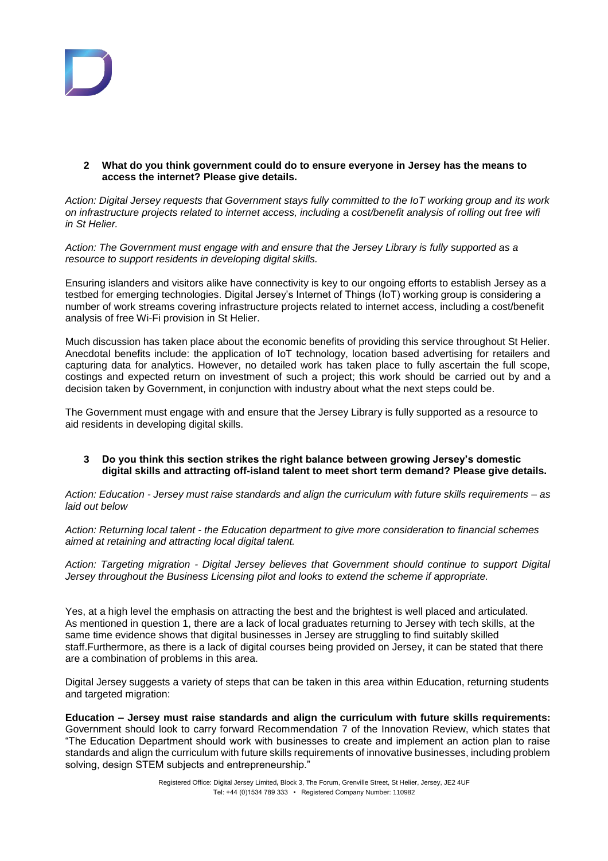

## **2 What do you think government could do to ensure everyone in Jersey has the means to access the internet? Please give details.**

*Action: Digital Jersey requests that Government stays fully committed to the IoT working group and its work on infrastructure projects related to internet access, including a cost/benefit analysis of rolling out free wifi in St Helier.*

*Action: The Government must engage with and ensure that the Jersey Library is fully supported as a resource to support residents in developing digital skills.*

Ensuring islanders and visitors alike have connectivity is key to our ongoing efforts to establish Jersey as a testbed for emerging technologies. Digital Jersey's Internet of Things (IoT) working group is considering a number of work streams covering infrastructure projects related to internet access, including a cost/benefit analysis of free Wi-Fi provision in St Helier.

Much discussion has taken place about the economic benefits of providing this service throughout St Helier. Anecdotal benefits include: the application of IoT technology, location based advertising for retailers and capturing data for analytics. However, no detailed work has taken place to fully ascertain the full scope, costings and expected return on investment of such a project; this work should be carried out by and a decision taken by Government, in conjunction with industry about what the next steps could be.

The Government must engage with and ensure that the Jersey Library is fully supported as a resource to aid residents in developing digital skills.

## **3 Do you think this section strikes the right balance between growing Jersey's domestic digital skills and attracting off-island talent to meet short term demand? Please give details.**

*Action: Education - Jersey must raise standards and align the curriculum with future skills requirements – as laid out below*

*Action: Returning local talent - the Education department to give more consideration to financial schemes aimed at retaining and attracting local digital talent.*

*Action: Targeting migration - Digital Jersey believes that Government should continue to support Digital Jersey throughout the Business Licensing pilot and looks to extend the scheme if appropriate.*

Yes, at a high level the emphasis on attracting the best and the brightest is well placed and articulated. As mentioned in question 1, there are a lack of local graduates returning to Jersey with tech skills, at the same time evidence shows that digital businesses in Jersey are struggling to find suitably skilled staff.Furthermore, as there is a lack of digital courses being provided on Jersey, it can be stated that there are a combination of problems in this area.

Digital Jersey suggests a variety of steps that can be taken in this area within Education, returning students and targeted migration:

**Education – Jersey must raise standards and align the curriculum with future skills requirements:**  Government should look to carry forward Recommendation 7 of the Innovation Review, which states that "The Education Department should work with businesses to create and implement an action plan to raise standards and align the curriculum with future skills requirements of innovative businesses, including problem solving, design STEM subjects and entrepreneurship."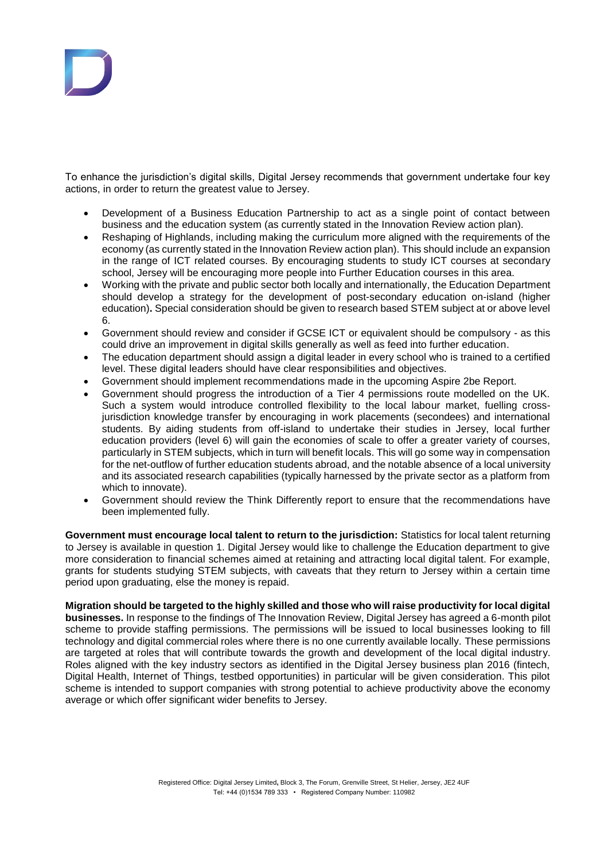

To enhance the jurisdiction's digital skills, Digital Jersey recommends that government undertake four key actions, in order to return the greatest value to Jersey.

- Development of a Business Education Partnership to act as a single point of contact between business and the education system (as currently stated in the Innovation Review action plan).
- Reshaping of Highlands, including making the curriculum more aligned with the requirements of the economy (as currently stated in the Innovation Review action plan). This should include an expansion in the range of ICT related courses. By encouraging students to study ICT courses at secondary school, Jersey will be encouraging more people into Further Education courses in this area.
- Working with the private and public sector both locally and internationally, the Education Department should develop a strategy for the development of post-secondary education on-island (higher education)**.** Special consideration should be given to research based STEM subject at or above level 6.
- Government should review and consider if GCSE ICT or equivalent should be compulsory as this could drive an improvement in digital skills generally as well as feed into further education.
- The education department should assign a digital leader in every school who is trained to a certified level. These digital leaders should have clear responsibilities and objectives.
- Government should implement recommendations made in the upcoming Aspire 2be Report.
- Government should progress the introduction of a Tier 4 permissions route modelled on the UK. Such a system would introduce controlled flexibility to the local labour market, fuelling crossjurisdiction knowledge transfer by encouraging in work placements (secondees) and international students. By aiding students from off-island to undertake their studies in Jersey, local further education providers (level 6) will gain the economies of scale to offer a greater variety of courses, particularly in STEM subjects, which in turn will benefit locals. This will go some way in compensation for the net-outflow of further education students abroad, and the notable absence of a local university and its associated research capabilities (typically harnessed by the private sector as a platform from which to innovate).
- Government should review the Think Differently report to ensure that the recommendations have been implemented fully.

**Government must encourage local talent to return to the jurisdiction:** Statistics for local talent returning to Jersey is available in question 1. Digital Jersey would like to challenge the Education department to give more consideration to financial schemes aimed at retaining and attracting local digital talent. For example, grants for students studying STEM subjects, with caveats that they return to Jersey within a certain time period upon graduating, else the money is repaid.

**Migration should be targeted to the highly skilled and those who will raise productivity for local digital businesses.** In response to the findings of The Innovation Review, Digital Jersey has agreed a 6-month pilot scheme to provide staffing permissions. The permissions will be issued to local businesses looking to fill technology and digital commercial roles where there is no one currently available locally. These permissions are targeted at roles that will contribute towards the growth and development of the local digital industry. Roles aligned with the key industry sectors as identified in the Digital Jersey business plan 2016 (fintech, Digital Health, Internet of Things, testbed opportunities) in particular will be given consideration. This pilot scheme is intended to support companies with strong potential to achieve productivity above the economy average or which offer significant wider benefits to Jersey.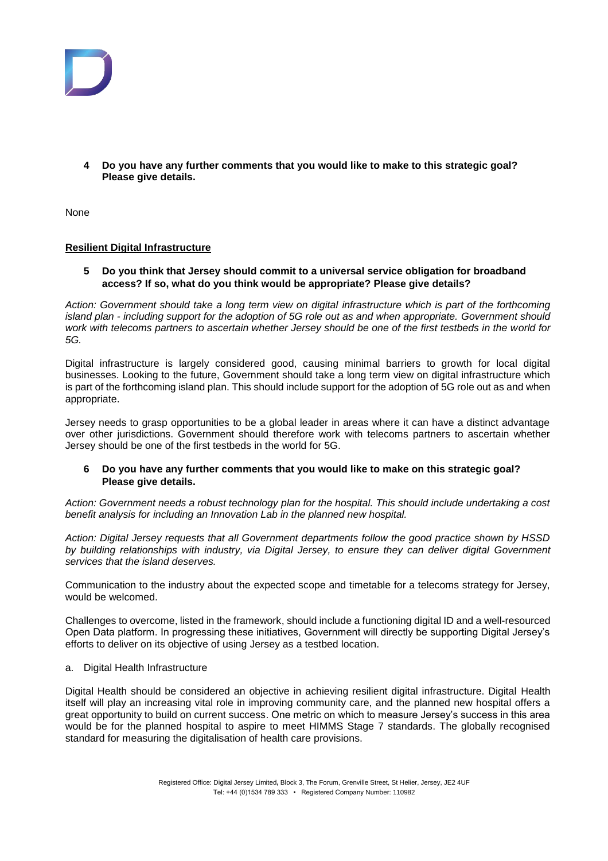

**4 Do you have any further comments that you would like to make to this strategic goal? Please give details.** 

None

## **Resilient Digital Infrastructure**

**5 Do you think that Jersey should commit to a universal service obligation for broadband access? If so, what do you think would be appropriate? Please give details?**

*Action: Government should take a long term view on digital infrastructure which is part of the forthcoming island plan - including support for the adoption of 5G role out as and when appropriate. Government should work with telecoms partners to ascertain whether Jersey should be one of the first testbeds in the world for 5G.*

Digital infrastructure is largely considered good, causing minimal barriers to growth for local digital businesses. Looking to the future, Government should take a long term view on digital infrastructure which is part of the forthcoming island plan. This should include support for the adoption of 5G role out as and when appropriate.

Jersey needs to grasp opportunities to be a global leader in areas where it can have a distinct advantage over other jurisdictions. Government should therefore work with telecoms partners to ascertain whether Jersey should be one of the first testbeds in the world for 5G.

## **6 Do you have any further comments that you would like to make on this strategic goal? Please give details.**

*Action: Government needs a robust technology plan for the hospital. This should include undertaking a cost benefit analysis for including an Innovation Lab in the planned new hospital.* 

*Action: Digital Jersey requests that all Government departments follow the good practice shown by HSSD by building relationships with industry, via Digital Jersey, to ensure they can deliver digital Government services that the island deserves.*

Communication to the industry about the expected scope and timetable for a telecoms strategy for Jersey, would be welcomed.

Challenges to overcome, listed in the framework, should include a functioning digital ID and a well-resourced Open Data platform. In progressing these initiatives, Government will directly be supporting Digital Jersey's efforts to deliver on its objective of using Jersey as a testbed location.

a. Digital Health Infrastructure

Digital Health should be considered an objective in achieving resilient digital infrastructure. Digital Health itself will play an increasing vital role in improving community care, and the planned new hospital offers a great opportunity to build on current success. One metric on which to measure Jersey's success in this area would be for the planned hospital to aspire to meet HIMMS Stage 7 standards. The globally recognised standard for measuring the digitalisation of health care provisions.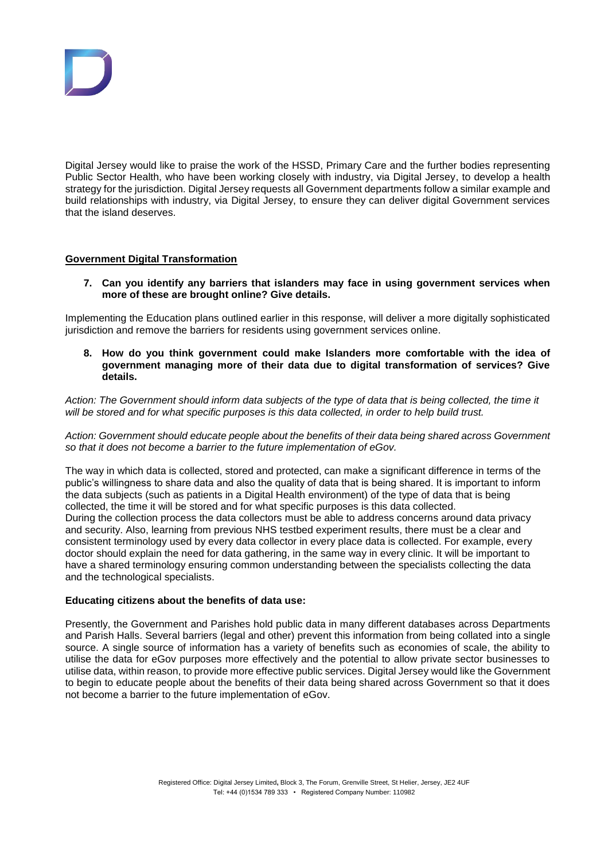

Digital Jersey would like to praise the work of the HSSD, Primary Care and the further bodies representing Public Sector Health, who have been working closely with industry, via Digital Jersey, to develop a health strategy for the jurisdiction. Digital Jersey requests all Government departments follow a similar example and build relationships with industry, via Digital Jersey, to ensure they can deliver digital Government services that the island deserves.

## **Government Digital Transformation**

**7. Can you identify any barriers that islanders may face in using government services when more of these are brought online? Give details.**

Implementing the Education plans outlined earlier in this response, will deliver a more digitally sophisticated jurisdiction and remove the barriers for residents using government services online.

**8. How do you think government could make Islanders more comfortable with the idea of government managing more of their data due to digital transformation of services? Give details.**

*Action: The Government should inform data subjects of the type of data that is being collected, the time it will be stored and for what specific purposes is this data collected, in order to help build trust.*

*Action: Government should educate people about the benefits of their data being shared across Government so that it does not become a barrier to the future implementation of eGov.*

The way in which data is collected, stored and protected, can make a significant difference in terms of the public's willingness to share data and also the quality of data that is being shared. It is important to inform the data subjects (such as patients in a Digital Health environment) of the type of data that is being collected, the time it will be stored and for what specific purposes is this data collected. During the collection process the data collectors must be able to address concerns around data privacy and security. Also, learning from previous NHS testbed experiment results, there must be a clear and consistent terminology used by every data collector in every place data is collected. For example, every doctor should explain the need for data gathering, in the same way in every clinic. It will be important to have a shared terminology ensuring common understanding between the specialists collecting the data and the technological specialists.

## **Educating citizens about the benefits of data use:**

Presently, the Government and Parishes hold public data in many different databases across Departments and Parish Halls. Several barriers (legal and other) prevent this information from being collated into a single source. A single source of information has a variety of benefits such as economies of scale, the ability to utilise the data for eGov purposes more effectively and the potential to allow private sector businesses to utilise data, within reason, to provide more effective public services. Digital Jersey would like the Government to begin to educate people about the benefits of their data being shared across Government so that it does not become a barrier to the future implementation of eGov.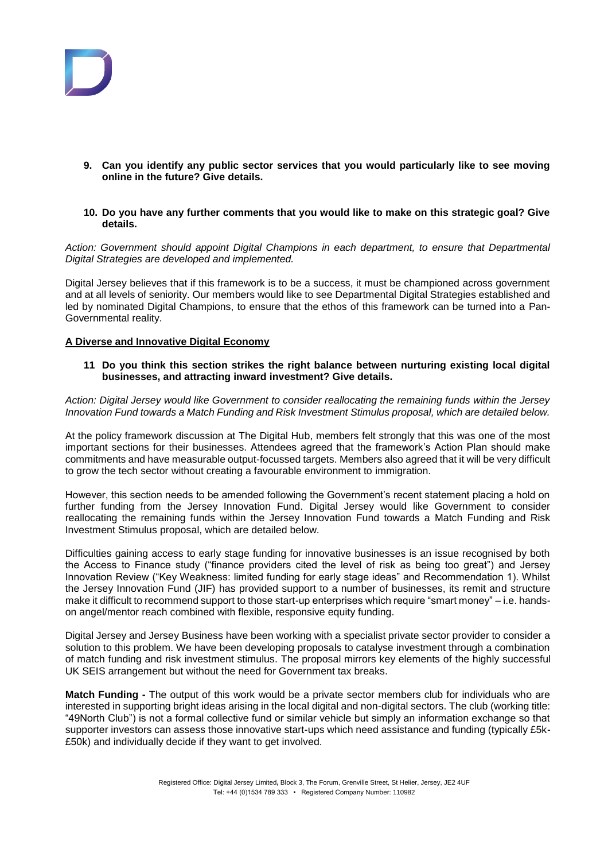

- **9. Can you identify any public sector services that you would particularly like to see moving online in the future? Give details.**
- **10. Do you have any further comments that you would like to make on this strategic goal? Give details.**

*Action: Government should appoint Digital Champions in each department, to ensure that Departmental Digital Strategies are developed and implemented.*

Digital Jersey believes that if this framework is to be a success, it must be championed across government and at all levels of seniority. Our members would like to see Departmental Digital Strategies established and led by nominated Digital Champions, to ensure that the ethos of this framework can be turned into a Pan-Governmental reality.

## **A Diverse and Innovative Digital Economy**

**11 Do you think this section strikes the right balance between nurturing existing local digital businesses, and attracting inward investment? Give details.**

*Action: Digital Jersey would like Government to consider reallocating the remaining funds within the Jersey Innovation Fund towards a Match Funding and Risk Investment Stimulus proposal, which are detailed below.* 

At the policy framework discussion at The Digital Hub, members felt strongly that this was one of the most important sections for their businesses. Attendees agreed that the framework's Action Plan should make commitments and have measurable output-focussed targets. Members also agreed that it will be very difficult to grow the tech sector without creating a favourable environment to immigration.

However, this section needs to be amended following the Government's recent statement placing a hold on further funding from the Jersey Innovation Fund. Digital Jersey would like Government to consider reallocating the remaining funds within the Jersey Innovation Fund towards a Match Funding and Risk Investment Stimulus proposal, which are detailed below.

Difficulties gaining access to early stage funding for innovative businesses is an issue recognised by both the Access to Finance study ("finance providers cited the level of risk as being too great") and Jersey Innovation Review ("Key Weakness: limited funding for early stage ideas" and Recommendation 1). Whilst the Jersey Innovation Fund (JIF) has provided support to a number of businesses, its remit and structure make it difficult to recommend support to those start-up enterprises which require "smart money" – i.e. handson angel/mentor reach combined with flexible, responsive equity funding.

Digital Jersey and Jersey Business have been working with a specialist private sector provider to consider a solution to this problem. We have been developing proposals to catalyse investment through a combination of match funding and risk investment stimulus. The proposal mirrors key elements of the highly successful UK SEIS arrangement but without the need for Government tax breaks.

**Match Funding -** The output of this work would be a private sector members club for individuals who are interested in supporting bright ideas arising in the local digital and non-digital sectors. The club (working title: "49North Club") is not a formal collective fund or similar vehicle but simply an information exchange so that supporter investors can assess those innovative start-ups which need assistance and funding (typically £5k- £50k) and individually decide if they want to get involved.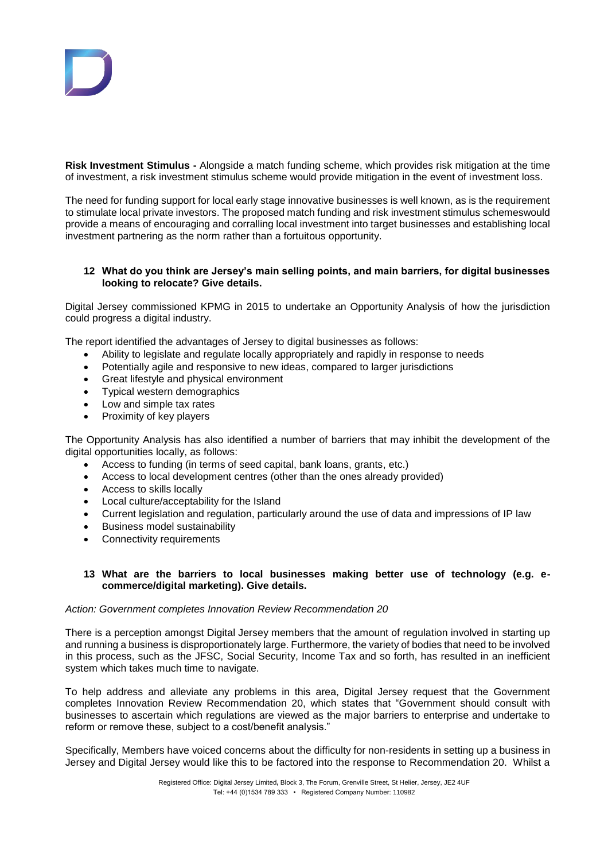**Risk Investment Stimulus -** Alongside a match funding scheme, which provides risk mitigation at the time of investment, a risk investment stimulus scheme would provide mitigation in the event of investment loss.

The need for funding support for local early stage innovative businesses is well known, as is the requirement to stimulate local private investors. The proposed match funding and risk investment stimulus schemeswould provide a means of encouraging and corralling local investment into target businesses and establishing local investment partnering as the norm rather than a fortuitous opportunity.

## **12 What do you think are Jersey's main selling points, and main barriers, for digital businesses looking to relocate? Give details.**

Digital Jersey commissioned KPMG in 2015 to undertake an Opportunity Analysis of how the jurisdiction could progress a digital industry.

The report identified the advantages of Jersey to digital businesses as follows:

- Ability to legislate and regulate locally appropriately and rapidly in response to needs
- Potentially agile and responsive to new ideas, compared to larger jurisdictions
- Great lifestyle and physical environment
- Typical western demographics
- Low and simple tax rates
- Proximity of key players

The Opportunity Analysis has also identified a number of barriers that may inhibit the development of the digital opportunities locally, as follows:

- Access to funding (in terms of seed capital, bank loans, grants, etc.)
- Access to local development centres (other than the ones already provided)
- Access to skills locally
- Local culture/acceptability for the Island
- Current legislation and regulation, particularly around the use of data and impressions of IP law
- Business model sustainability
- Connectivity requirements

## **13 What are the barriers to local businesses making better use of technology (e.g. ecommerce/digital marketing). Give details.**

# *Action: Government completes Innovation Review Recommendation 20*

There is a perception amongst Digital Jersey members that the amount of regulation involved in starting up and running a business is disproportionately large. Furthermore, the variety of bodies that need to be involved in this process, such as the JFSC, Social Security, Income Tax and so forth, has resulted in an inefficient system which takes much time to navigate.

To help address and alleviate any problems in this area, Digital Jersey request that the Government completes Innovation Review Recommendation 20, which states that "Government should consult with businesses to ascertain which regulations are viewed as the major barriers to enterprise and undertake to reform or remove these, subject to a cost/benefit analysis."

Specifically, Members have voiced concerns about the difficulty for non-residents in setting up a business in Jersey and Digital Jersey would like this to be factored into the response to Recommendation 20. Whilst a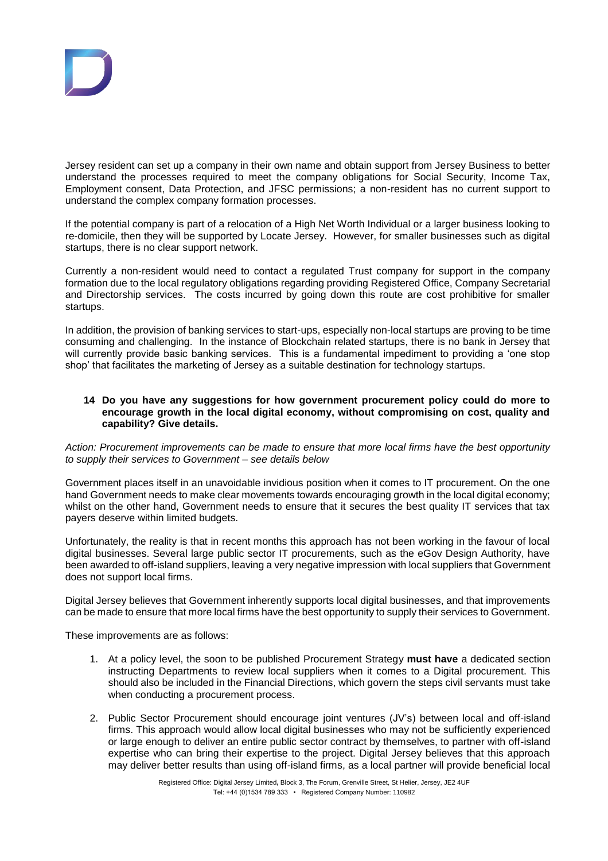Jersey resident can set up a company in their own name and obtain support from Jersey Business to better understand the processes required to meet the company obligations for Social Security, Income Tax, Employment consent, Data Protection, and JFSC permissions; a non-resident has no current support to understand the complex company formation processes.

If the potential company is part of a relocation of a High Net Worth Individual or a larger business looking to re-domicile, then they will be supported by Locate Jersey. However, for smaller businesses such as digital startups, there is no clear support network.

Currently a non-resident would need to contact a regulated Trust company for support in the company formation due to the local regulatory obligations regarding providing Registered Office, Company Secretarial and Directorship services. The costs incurred by going down this route are cost prohibitive for smaller startups.

In addition, the provision of banking services to start-ups, especially non-local startups are proving to be time consuming and challenging. In the instance of Blockchain related startups, there is no bank in Jersey that will currently provide basic banking services. This is a fundamental impediment to providing a 'one stop shop' that facilitates the marketing of Jersey as a suitable destination for technology startups.

# **14 Do you have any suggestions for how government procurement policy could do more to encourage growth in the local digital economy, without compromising on cost, quality and capability? Give details.**

*Action: Procurement improvements can be made to ensure that more local firms have the best opportunity to supply their services to Government – see details below*

Government places itself in an unavoidable invidious position when it comes to IT procurement. On the one hand Government needs to make clear movements towards encouraging growth in the local digital economy; whilst on the other hand, Government needs to ensure that it secures the best quality IT services that tax payers deserve within limited budgets.

Unfortunately, the reality is that in recent months this approach has not been working in the favour of local digital businesses. Several large public sector IT procurements, such as the eGov Design Authority, have been awarded to off-island suppliers, leaving a very negative impression with local suppliers that Government does not support local firms.

Digital Jersey believes that Government inherently supports local digital businesses, and that improvements can be made to ensure that more local firms have the best opportunity to supply their services to Government.

These improvements are as follows:

- 1. At a policy level, the soon to be published Procurement Strategy **must have** a dedicated section instructing Departments to review local suppliers when it comes to a Digital procurement. This should also be included in the Financial Directions, which govern the steps civil servants must take when conducting a procurement process.
- 2. Public Sector Procurement should encourage joint ventures (JV's) between local and off-island firms. This approach would allow local digital businesses who may not be sufficiently experienced or large enough to deliver an entire public sector contract by themselves, to partner with off-island expertise who can bring their expertise to the project. Digital Jersey believes that this approach may deliver better results than using off-island firms, as a local partner will provide beneficial local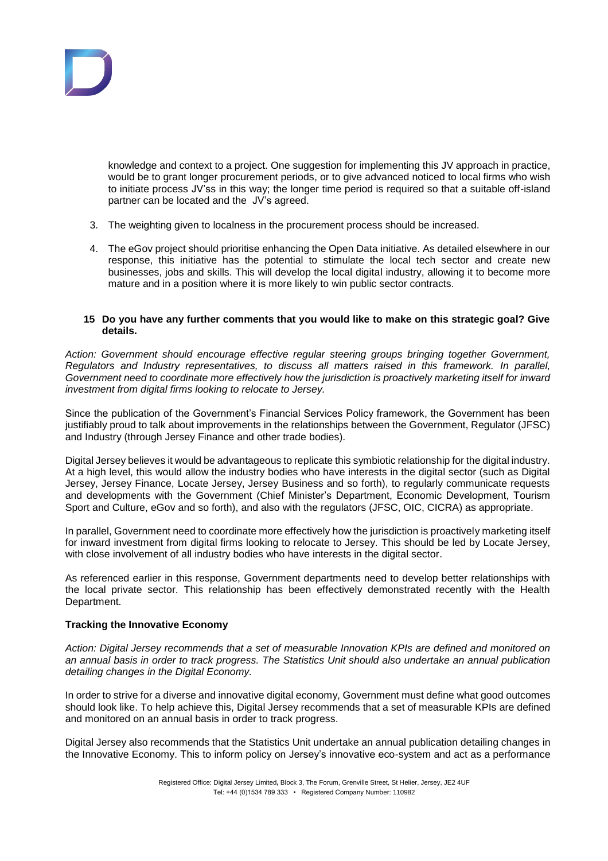

knowledge and context to a project. One suggestion for implementing this JV approach in practice, would be to grant longer procurement periods, or to give advanced noticed to local firms who wish to initiate process JV'ss in this way; the longer time period is required so that a suitable off-island partner can be located and the JV's agreed.

- 3. The weighting given to localness in the procurement process should be increased.
- 4. The eGov project should prioritise enhancing the Open Data initiative. As detailed elsewhere in our response, this initiative has the potential to stimulate the local tech sector and create new businesses, jobs and skills. This will develop the local digital industry, allowing it to become more mature and in a position where it is more likely to win public sector contracts.

## **15 Do you have any further comments that you would like to make on this strategic goal? Give details.**

*Action: Government should encourage effective regular steering groups bringing together Government, Regulators and Industry representatives, to discuss all matters raised in this framework. In parallel, Government need to coordinate more effectively how the jurisdiction is proactively marketing itself for inward investment from digital firms looking to relocate to Jersey.*

Since the publication of the Government's Financial Services Policy framework, the Government has been justifiably proud to talk about improvements in the relationships between the Government, Regulator (JFSC) and Industry (through Jersey Finance and other trade bodies).

Digital Jersey believes it would be advantageous to replicate this symbiotic relationship for the digital industry. At a high level, this would allow the industry bodies who have interests in the digital sector (such as Digital Jersey, Jersey Finance, Locate Jersey, Jersey Business and so forth), to regularly communicate requests and developments with the Government (Chief Minister's Department, Economic Development, Tourism Sport and Culture, eGov and so forth), and also with the regulators (JFSC, OIC, CICRA) as appropriate.

In parallel, Government need to coordinate more effectively how the jurisdiction is proactively marketing itself for inward investment from digital firms looking to relocate to Jersey. This should be led by Locate Jersey, with close involvement of all industry bodies who have interests in the digital sector.

As referenced earlier in this response, Government departments need to develop better relationships with the local private sector. This relationship has been effectively demonstrated recently with the Health Department.

# **Tracking the Innovative Economy**

*Action: Digital Jersey recommends that a set of measurable Innovation KPIs are defined and monitored on an annual basis in order to track progress. The Statistics Unit should also undertake an annual publication detailing changes in the Digital Economy.*

In order to strive for a diverse and innovative digital economy, Government must define what good outcomes should look like. To help achieve this, Digital Jersey recommends that a set of measurable KPIs are defined and monitored on an annual basis in order to track progress.

Digital Jersey also recommends that the Statistics Unit undertake an annual publication detailing changes in the Innovative Economy. This to inform policy on Jersey's innovative eco-system and act as a performance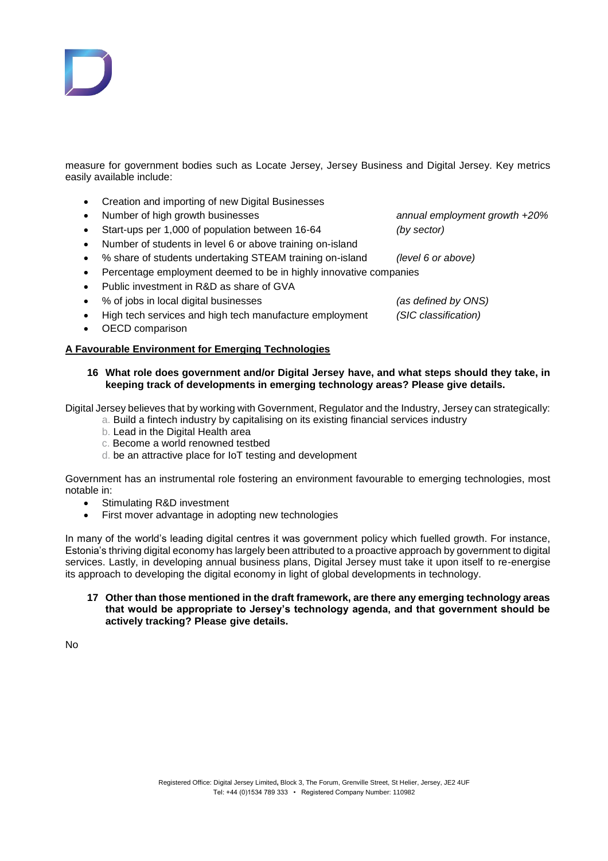

measure for government bodies such as Locate Jersey, Jersey Business and Digital Jersey. Key metrics easily available include:

- Creation and importing of new Digital Businesses
- 
- Start-ups per 1,000 of population between 16-64 *(by sector)*
- Number of students in level 6 or above training on-island
- % share of students undertaking STEAM training on-island *(level 6 or above)*
- Percentage employment deemed to be in highly innovative companies
- Public investment in R&D as share of GVA
- % of jobs in local digital businesses *(as defined by ONS)*
- High tech services and high tech manufacture employment *(SIC classification)*
- OECD comparison

#### **A Favourable Environment for Emerging Technologies**

**16 What role does government and/or Digital Jersey have, and what steps should they take, in keeping track of developments in emerging technology areas? Please give details.** 

Digital Jersey believes that by working with Government, Regulator and the Industry, Jersey can strategically:

- a. Build a fintech industry by capitalising on its existing financial services industry
- b. Lead in the Digital Health area
- c. Become a world renowned testbed
- d. be an attractive place for IoT testing and development

Government has an instrumental role fostering an environment favourable to emerging technologies, most notable in:

- Stimulating R&D investment
- First mover advantage in adopting new technologies

In many of the world's leading digital centres it was government policy which fuelled growth. For instance, Estonia's thriving digital economy has largely been attributed to a proactive approach by government to digital services. Lastly, in developing annual business plans, Digital Jersey must take it upon itself to re-energise its approach to developing the digital economy in light of global developments in technology.

**17 Other than those mentioned in the draft framework, are there any emerging technology areas that would be appropriate to Jersey's technology agenda, and that government should be actively tracking? Please give details.** 

No

Registered Office: Digital Jersey Limited**,** Block 3, The Forum, Grenville Street, St Helier, Jersey, JE2 4UF Tel: +44 (0)1534 789 333 • Registered Company Number: 110982

Number of high growth businesses *annual employment growth +20%*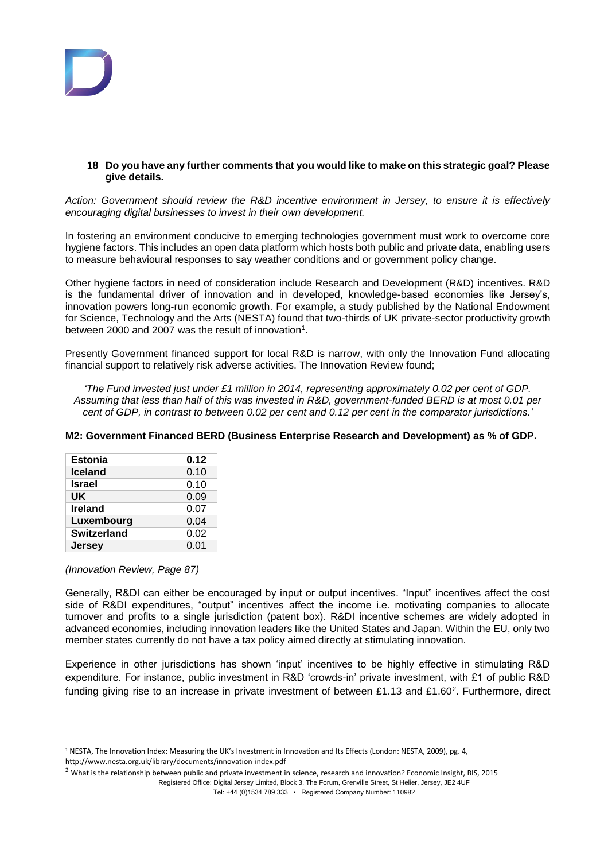

## **18 Do you have any further comments that you would like to make on this strategic goal? Please give details.**

*Action: Government should review the R&D incentive environment in Jersey, to ensure it is effectively encouraging digital businesses to invest in their own development.*

In fostering an environment conducive to emerging technologies government must work to overcome core hygiene factors. This includes an open data platform which hosts both public and private data, enabling users to measure behavioural responses to say weather conditions and or government policy change.

Other hygiene factors in need of consideration include Research and Development (R&D) incentives. R&D is the fundamental driver of innovation and in developed, knowledge-based economies like Jersey's, innovation powers long-run economic growth. For example, a study published by the National Endowment for Science, Technology and the Arts (NESTA) found that two-thirds of UK private-sector productivity growth between 2000 and 2007 was the result of innovation<sup>1</sup>.

Presently Government financed support for local R&D is narrow, with only the Innovation Fund allocating financial support to relatively risk adverse activities. The Innovation Review found;

*'The Fund invested just under £1 million in 2014, representing approximately 0.02 per cent of GDP. Assuming that less than half of this was invested in R&D, government-funded BERD is at most 0.01 per cent of GDP, in contrast to between 0.02 per cent and 0.12 per cent in the comparator jurisdictions.'*

# **M2: Government Financed BERD (Business Enterprise Research and Development) as % of GDP.**

| <b>Estonia</b>     | 0.12 |
|--------------------|------|
| <b>Iceland</b>     | 0.10 |
| <b>Israel</b>      | 0.10 |
| UK                 | 0.09 |
| <b>Ireland</b>     | 0.07 |
| Luxembourg         | 0.04 |
| <b>Switzerland</b> | 0.02 |
| <b>Jersey</b>      | 0.01 |

## *(Innovation Review, Page 87)*

Generally, R&DI can either be encouraged by input or output incentives. "Input" incentives affect the cost side of R&DI expenditures, "output" incentives affect the income i.e. motivating companies to allocate turnover and profits to a single jurisdiction (patent box). R&DI incentive schemes are widely adopted in advanced economies, including innovation leaders like the United States and Japan. Within the EU, only two member states currently do not have a tax policy aimed directly at stimulating innovation.

Experience in other jurisdictions has shown 'input' incentives to be highly effective in stimulating R&D expenditure. For instance, public investment in R&D 'crowds-in' private investment, with £1 of public R&D funding giving rise to an increase in private investment of between £1.13 and £1.60<sup>2</sup>. Furthermore, direct

 $\overline{a}$ <sup>1</sup> NESTA, The Innovation Index: Measuring the UK's Investment in Innovation and Its Effects (London: NESTA, 2009), pg. 4, http://www.nesta.org.uk/library/documents/innovation-index.pdf

Registered Office: Digital Jersey Limited**,** Block 3, The Forum, Grenville Street, St Helier, Jersey, JE2 4UF <sup>2</sup> What is the relationship between public and private investment in science, research and innovation? Economic Insight, BIS, 2015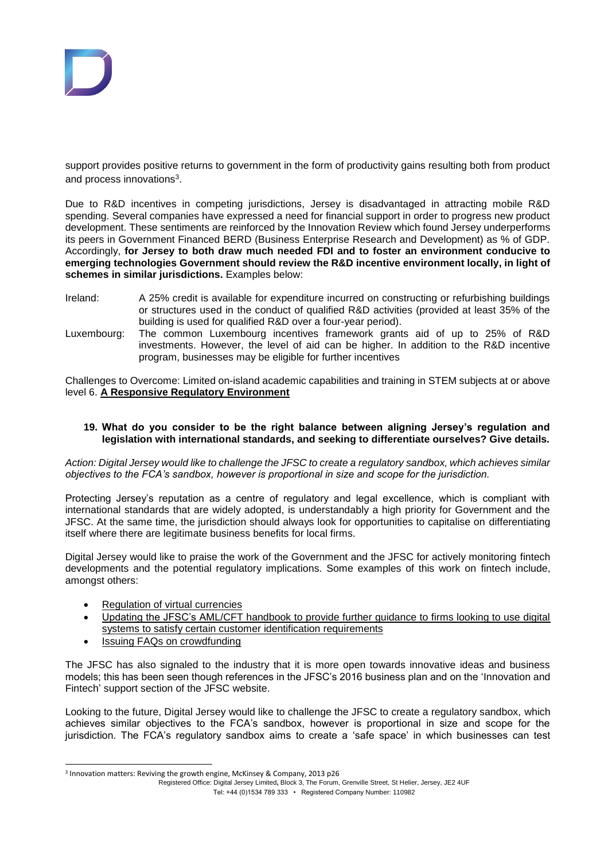

support provides positive returns to government in the form of productivity gains resulting both from product and process innovations<sup>3</sup>.

Due to R&D incentives in competing jurisdictions, Jersey is disadvantaged in attracting mobile R&D spending. Several companies have expressed a need for financial support in order to progress new product development. These sentiments are reinforced by the Innovation Review which found Jersey underperforms its peers in Government Financed BERD (Business Enterprise Research and Development) as % of GDP. Accordingly, **for Jersey to both draw much needed FDI and to foster an environment conducive to emerging technologies Government should review the R&D incentive environment locally, in light of schemes in similar jurisdictions.** Examples below:

- Ireland: A 25% credit is available for expenditure incurred on constructing or refurbishing buildings or structures used in the conduct of qualified R&D activities (provided at least 35% of the building is used for qualified R&D over a four-year period).
- Luxembourg: The common Luxembourg incentives framework grants aid of up to 25% of R&D investments. However, the level of aid can be higher. In addition to the R&D incentive program, businesses may be eligible for further incentives

Challenges to Overcome: Limited on-island academic capabilities and training in STEM subjects at or above level 6. **A Responsive Regulatory Environment**

## **19. What do you consider to be the right balance between aligning Jersey's regulation and legislation with international standards, and seeking to differentiate ourselves? Give details.**

*Action: Digital Jersey would like to challenge the JFSC to create a regulatory sandbox, which achieves similar objectives to the FCA's sandbox, however is proportional in size and scope for the jurisdiction.*

Protecting Jersey's reputation as a centre of regulatory and legal excellence, which is compliant with international standards that are widely adopted, is understandably a high priority for Government and the JFSC. At the same time, the jurisdiction should always look for opportunities to capitalise on differentiating itself where there are legitimate business benefits for local firms.

Digital Jersey would like to praise the work of the Government and the JFSC for actively monitoring fintech developments and the potential regulatory implications. Some examples of this work on fintech include, amongst others:

- [Regulation of virtual currencies](https://www.gov.je/Government/Consultations/Pages/RegulationVirtualCurrency.aspx)
- [Updating the JFSC's AML/CFT handbook to provide further guidance to firms looking to use digital](http://www.jerseyfsc.org/pdf/Section-4-Identification-and-verification-of-identity-20150324.pdf)  [systems to satisfy certain customer identification requirements](http://www.jerseyfsc.org/pdf/Section-4-Identification-and-verification-of-identity-20150324.pdf)
- [Issuing FAQs on crowdfunding](http://www.jerseyfsc.org/pdf/Crowdfunding_FAQs.pdf)

 $\overline{a}$ 

The JFSC has also signaled to the industry that it is more open towards innovative ideas and business models; this has been seen though references in the JFSC's 2016 business plan and on the 'Innovation and Fintech' support section of the JFSC website.

Looking to the future, Digital Jersey would like to challenge the JFSC to create a regulatory sandbox, which achieves similar objectives to the FCA's sandbox, however is proportional in size and scope for the jurisdiction. The FCA's regulatory sandbox aims to create a 'safe space' in which businesses can test

Registered Office: Digital Jersey Limited**,** Block 3, The Forum, Grenville Street, St Helier, Jersey, JE2 4UF

Tel: +44 (0)1534 789 333 • Registered Company Number: 110982

<sup>3</sup> Innovation matters: Reviving the growth engine, McKinsey & Company, 2013 p26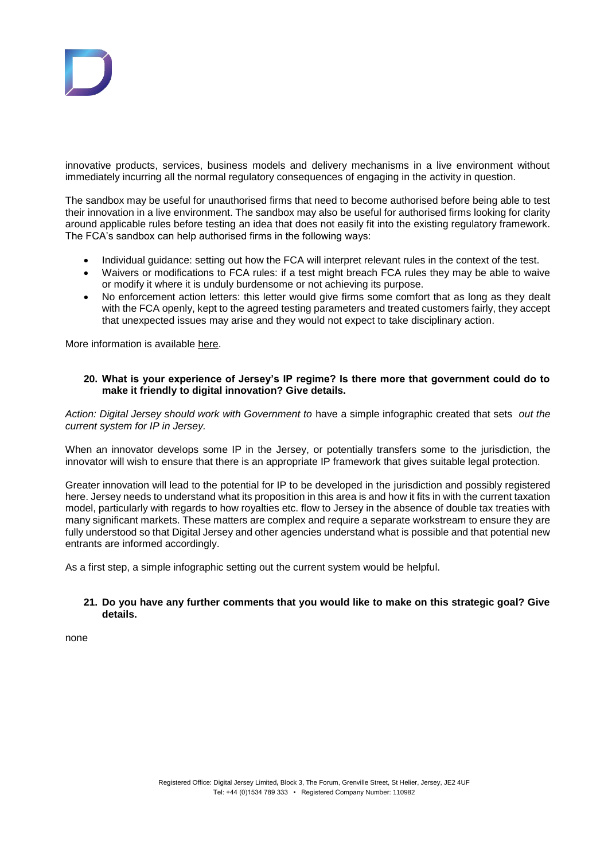

innovative products, services, business models and delivery mechanisms in a live environment without immediately incurring all the normal regulatory consequences of engaging in the activity in question.

The sandbox may be useful for unauthorised firms that need to become authorised before being able to test their innovation in a live environment. The sandbox may also be useful for authorised firms looking for clarity around applicable rules before testing an idea that does not easily fit into the existing regulatory framework. The FCA's sandbox can help authorised firms in the following ways:

- Individual guidance: setting out how the FCA will interpret relevant rules in the context of the test.
- Waivers or modifications to FCA rules: if a test might breach FCA rules they may be able to waive or modify it where it is unduly burdensome or not achieving its purpose.
- No enforcement action letters: this letter would give firms some comfort that as long as they dealt with the FCA openly, kept to the agreed testing parameters and treated customers fairly, they accept that unexpected issues may arise and they would not expect to take disciplinary action.

More information is available [here.](https://www.the-fca.org.uk/firms/project-innovate-innovation-hub/regulatory-sandbox)

## **20. What is your experience of Jersey's IP regime? Is there more that government could do to make it friendly to digital innovation? Give details.**

*Action: Digital Jersey should work with Government to* have a simple infographic created that sets *out the current system for IP in Jersey.*

When an innovator develops some IP in the Jersey, or potentially transfers some to the jurisdiction, the innovator will wish to ensure that there is an appropriate IP framework that gives suitable legal protection.

Greater innovation will lead to the potential for IP to be developed in the jurisdiction and possibly registered here. Jersey needs to understand what its proposition in this area is and how it fits in with the current taxation model, particularly with regards to how royalties etc. flow to Jersey in the absence of double tax treaties with many significant markets. These matters are complex and require a separate workstream to ensure they are fully understood so that Digital Jersey and other agencies understand what is possible and that potential new entrants are informed accordingly.

As a first step, a simple infographic setting out the current system would be helpful.

## **21. Do you have any further comments that you would like to make on this strategic goal? Give details.**

none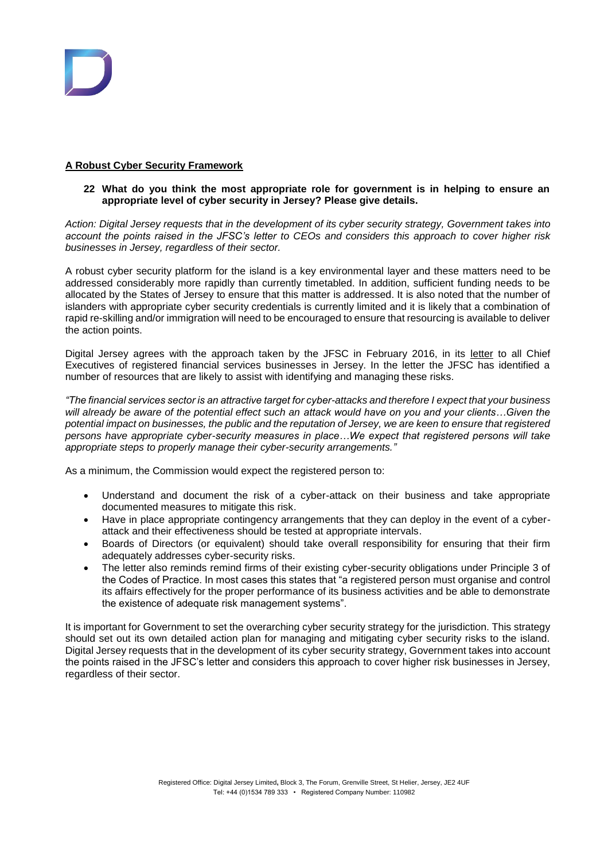# **A Robust Cyber Security Framework**

## **22 What do you think the most appropriate role for government is in helping to ensure an appropriate level of cyber security in Jersey? Please give details.**

*Action: Digital Jersey requests that in the development of its cyber security strategy, Government takes into account the points raised in the JFSC's letter to CEOs and considers this approach to cover higher risk businesses in Jersey, regardless of their sector.*

A robust cyber security platform for the island is a key environmental layer and these matters need to be addressed considerably more rapidly than currently timetabled. In addition, sufficient funding needs to be allocated by the States of Jersey to ensure that this matter is addressed. It is also noted that the number of islanders with appropriate cyber security credentials is currently limited and it is likely that a combination of rapid re-skilling and/or immigration will need to be encouraged to ensure that resourcing is available to deliver the action points.

Digital Jersey agrees with the approach taken by the JFSC in February 2016, in its [letter](http://www.jerseyfsc.org/pdf/JFSCCyberLetterFeb2016.pdf) to all Chief Executives of registered financial services businesses in Jersey. In the letter the JFSC has identified a number of resources that are likely to assist with identifying and managing these risks.

*"The financial services sector is an attractive target for cyber-attacks and therefore I expect that your business will already be aware of the potential effect such an attack would have on you and your clients…Given the potential impact on businesses, the public and the reputation of Jersey, we are keen to ensure that registered persons have appropriate cyber-security measures in place…We expect that registered persons will take appropriate steps to properly manage their cyber-security arrangements."*

As a minimum, the Commission would expect the registered person to:

- Understand and document the risk of a cyber-attack on their business and take appropriate documented measures to mitigate this risk.
- Have in place appropriate contingency arrangements that they can deploy in the event of a cyberattack and their effectiveness should be tested at appropriate intervals.
- Boards of Directors (or equivalent) should take overall responsibility for ensuring that their firm adequately addresses cyber-security risks.
- The letter also reminds remind firms of their existing cyber-security obligations under Principle 3 of the Codes of Practice. In most cases this states that "a registered person must organise and control its affairs effectively for the proper performance of its business activities and be able to demonstrate the existence of adequate risk management systems".

It is important for Government to set the overarching cyber security strategy for the jurisdiction. This strategy should set out its own detailed action plan for managing and mitigating cyber security risks to the island. Digital Jersey requests that in the development of its cyber security strategy, Government takes into account the points raised in the JFSC's letter and considers this approach to cover higher risk businesses in Jersey, regardless of their sector.